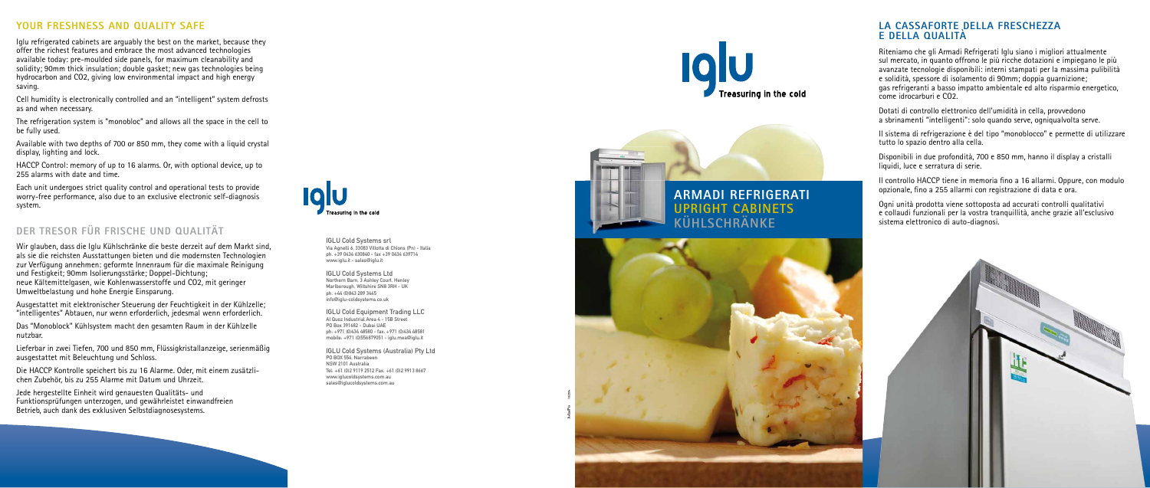### **YOUR FRESHNESS AND QUALITY SAFE**

Iglu refrigerated cabinets are arguably the best on the market, because they offer the richest features and embrace the most advanced technologies available today: pre-moulded side panels, for maximum cleanability and solidity; 90mm thick insulation; double gasket; new gas technologies being hydrocarbon and CO2, giving low environmental impact and high energy saving.

Cell humidity is electronically controlled and an "intelligent" system defrosts as and when necessary.

The refrigeration system is "monobloc" and allows all the space in the cell to be fully used.

Available with two depths of 700 or 850 mm, they come with a liquid crystal display, lighting and lock.

HACCP Control: memory of up to 16 alarms. Or, with optional device, up to 255 alarms with date and time.

Each unit undergoes strict quality control and operational tests to provide worry-free performance, also due to an exclusive electronic self-diagnosis system.

# **DER TRESOR FÜR FRISCHE UND QUALITÄT**

Wir glauben, dass die Iglu Kühlschränke die beste derzeit auf dem Markt sind, als sie die reichsten Ausstattungen bieten und die modernsten Technologien zur Verfügung annehmen: geformte Innenraum für die maximale Reinigung und Festigkeit; 90mm Isolierungsstärke; Doppel-Dichtung; neue Kältemittelgasen, wie Kohlenwasserstoffe und CO2, mit geringer Umweltbelastung und hohe Energie Einsparung.

Ausgestattet mit elektronischer Steuerung der Feuchtigkeit in der Kühlzelle; "intelligentes" Abtauen, nur wenn erforderlich, jedesmal wenn erforderlich.

Das "Monoblock" Kühlsystem macht den gesamten Raum in der Kühlzelle nutzbar.

Lieferbar in zwei Tiefen, 700 und 850 mm, Flüssigkristallanzeige, serienmäßig ausgestattet mit Beleuchtung und Schloss.

Die HACCP Kontrolle speichert bis zu 16 Alarme. Oder, mit einem zusätzlichen Zubehör, bis zu 255 Alarme mit Datum und Uhrzeit.

Jede hergestellte Einheit wird genauesten Qualitäts- und Funktionsprüfungen unterzogen, und gewährleistet einwandfreien Betrieb, auch dank des exklusiven Selbstdiagnosesystems.



### **LA CASSAFORTE DELLA FRESCHEZZA E DELLA QUALITÀ**

Riteniamo che gli Armadi Refrigerati Iglu siano i migliori attualmente sul mercato, in quanto offrono le più ricche dotazioni e impiegano le più avanzate tecnologie disponibili: interni stampati per la massima pulibilità e solidità, spessore di isolamento di 90mm; doppia guarnizione; gas refrigeranti a basso impatto ambientale ed alto risparmio energetico, come idrocarburi e CO2.

Dotati di controllo elettronico dell'umidità in cella, provvedono a sbrinamenti "intelligenti": solo quando serve, ogniqualvolta serve.

Il sistema di refrigerazione è del tipo "monoblocco" e permette di utilizzare tutto lo spazio dentro alla cella.

Disponibili in due profondità, 700 e 850 mm, hanno il display a cristalli liquidi, luce e serratura di serie.

Il controllo HACCP tiene in memoria fino a 16 allarmi. Oppure, con modulo opzionale, fino a 255 allarmi con registrazione di data e ora.

Ogni unità prodotta viene sottoposta ad accurati controlli qualitativi e collaudi funzionali per la vostra tranquillità, anche grazie all'esclusivo sistema elettronico di auto-diagnosi.



# **ARMADI REFRIGERATI UPRIGHT CABINETS KÜHLSCHRÄNKE**



IGLU Cold Systems srl Via Agnelli 6, 33083 Villotta di Chions (Pn) - Italia ph. +39 0434 630840 - fax +39 0434 639714 www.iglu.it - sales@iglu.it

IGLU Cold Systems Ltd Northern Barn, 3 Ashley Court, Henley Marlborough, Wiltshire SN8 3RH - UK ph. +44 (0)843 289 3445 info@iglu-coldsystems.co.uk

IGLU Cold Equipment Trading LLC Al Quoz Industrial Area 4 - 15B Street PO Box 391682 - Dubai UAE ph: +971 (0)434 48580 - fax: +971 (0)434 48581 mobile: +971 (0)556879051 - iglu.mea@iglu.it

IGLU Cold Systems (Australia) Pty Ltd PO BOX 554, Narrabeen NSW 2101 Australia Tel: +61 (0)2 9119 2512 Fax: +61 (0)2 9913 8667 www.iglucoldsystems.com.au sales@iglucoldsystems.com.au



**AdasPn** 10/2014